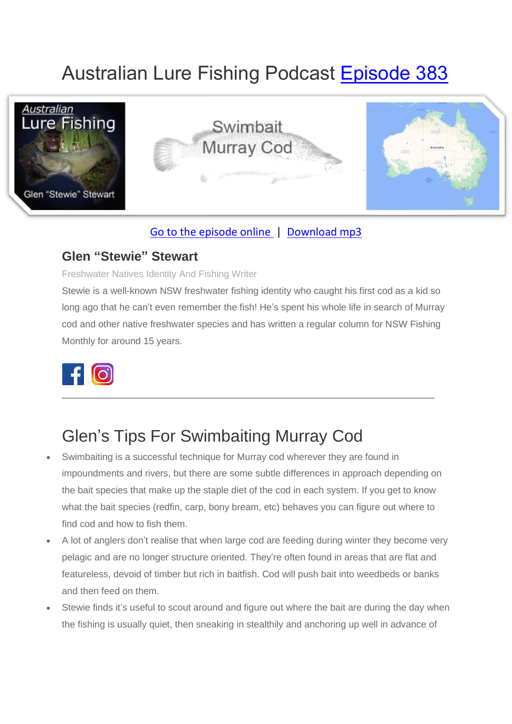# Australian Lure Fishing Podcast [Episode 383](https://doclures.com/swimbait-murray-cod-stewie)



#### [Go to the episode online](https://doclures.com/swimbait-murray-cod-stewie) | [Download mp3](https://traffic.libsyn.com/secure/doclures/383-swimbaiting-murray-cod-glen-stewart.mp3)

### **Glen "Stewie" Stewart**

Freshwater Natives Identity And Fishing Writer

Stewie is a well-known NSW freshwater fishing identity who caught his first cod as a kid so long ago that he can't even remember the fish! He's spent his whole life in search of Murray cod and other native freshwater species and has written a regular column for NSW Fishing Monthly for around 15 years.



# Glen's Tips For Swimbaiting Murray Cod

- Swimbaiting is a successful technique for Murray cod wherever they are found in impoundments and rivers, but there are some subtle differences in approach depending on the bait species that make up the staple diet of the cod in each system. If you get to know what the bait species (redfin, carp, bony bream, etc) behaves you can figure out where to find cod and how to fish them.
- A lot of anglers don't realise that when large cod are feeding during winter they become very pelagic and are no longer structure oriented. They're often found in areas that are flat and featureless, devoid of timber but rich in baitfish. Cod will push bait into weedbeds or banks and then feed on them.
- Stewie finds it's useful to scout around and figure out where the bait are during the day when the fishing is usually quiet, then sneaking in stealthily and anchoring up well in advance of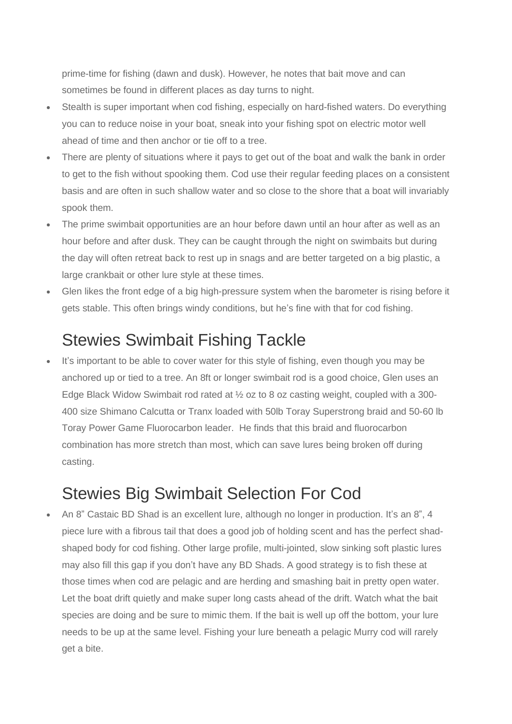prime-time for fishing (dawn and dusk). However, he notes that bait move and can sometimes be found in different places as day turns to night.

- Stealth is super important when cod fishing, especially on hard-fished waters. Do everything you can to reduce noise in your boat, sneak into your fishing spot on electric motor well ahead of time and then anchor or tie off to a tree.
- There are plenty of situations where it pays to get out of the boat and walk the bank in order to get to the fish without spooking them. Cod use their regular feeding places on a consistent basis and are often in such shallow water and so close to the shore that a boat will invariably spook them.
- The prime swimbait opportunities are an hour before dawn until an hour after as well as an hour before and after dusk. They can be caught through the night on swimbaits but during the day will often retreat back to rest up in snags and are better targeted on a big plastic, a large crankbait or other lure style at these times.
- Glen likes the front edge of a big high-pressure system when the barometer is rising before it gets stable. This often brings windy conditions, but he's fine with that for cod fishing.

### Stewies Swimbait Fishing Tackle

It's important to be able to cover water for this style of fishing, even though you may be anchored up or tied to a tree. An 8ft or longer swimbait rod is a good choice, Glen uses an Edge Black Widow Swimbait rod rated at ½ oz to 8 oz casting weight, coupled with a 300- 400 size Shimano Calcutta or Tranx loaded with 50lb Toray Superstrong braid and 50-60 lb Toray Power Game Fluorocarbon leader. He finds that this braid and fluorocarbon combination has more stretch than most, which can save lures being broken off during casting.

## Stewies Big Swimbait Selection For Cod

• An 8" Castaic BD Shad is an excellent lure, although no longer in production. It's an 8", 4 piece lure with a fibrous tail that does a good job of holding scent and has the perfect shadshaped body for cod fishing. Other large profile, multi-jointed, slow sinking soft plastic lures may also fill this gap if you don't have any BD Shads. A good strategy is to fish these at those times when cod are pelagic and are herding and smashing bait in pretty open water. Let the boat drift quietly and make super long casts ahead of the drift. Watch what the bait species are doing and be sure to mimic them. If the bait is well up off the bottom, your lure needs to be up at the same level. Fishing your lure beneath a pelagic Murry cod will rarely get a bite.